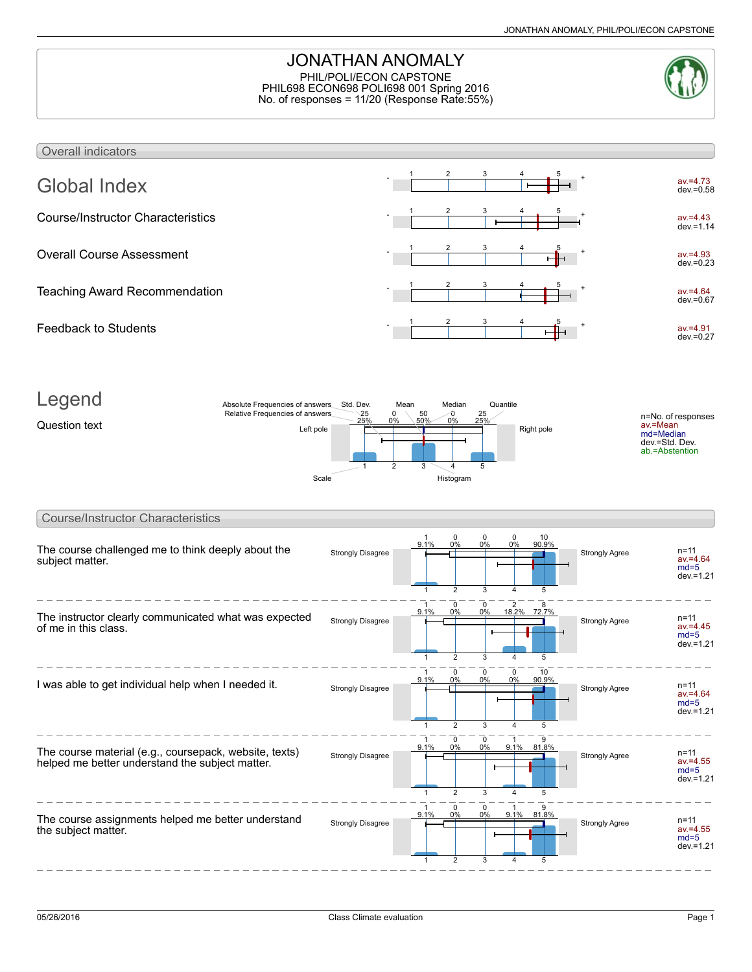## JONATHAN ANOMALY PHIL/POLI/ECON CAPSTONE PHIL698 ECON698 POLI698 001 Spring 2016 No. of responses = 11/20 (Response Rate:55%)



#### Overall indicators Global Index av.=4.73  $dev = 0.58$ 1 2 3 4 5 Course/Instructor Characteristics av.=4.43 dev.=1.14 1 2 3 4 5 Overall Course Assessment  $av = 4.93$  $dev. = 0.23$ 1 2 3 4 5 Teaching Award Recommendation av.=4.64 dev.=0.67 1 2 3 4 5 Feedback to Students av.=4.91 dev.=0.27 1 2 3 4 5



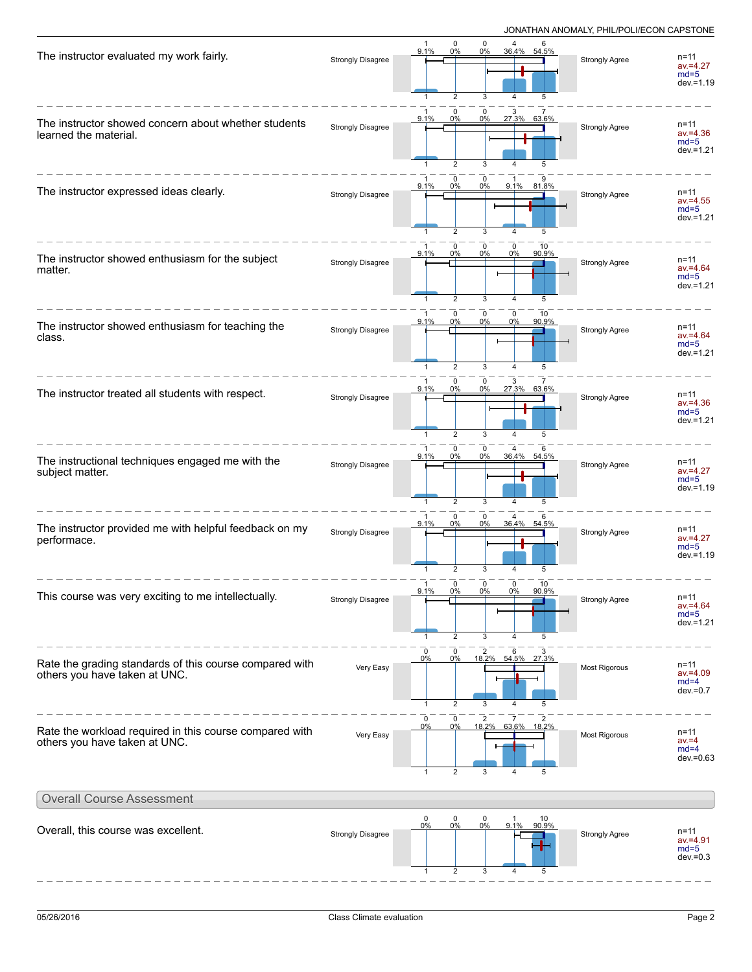| The instructor evaluated my work fairly.                                                 | <b>Strongly Disagree</b> | 0<br>$\mathbf 0$<br>$\overline{4}$<br>-1<br>9.1%<br>0%<br>0%<br>36.4%<br>54.5%<br>$\overline{2}$<br>3<br>5<br>1<br>4           | <b>Strongly Agree</b> | $n = 11$<br>$av = 4.27$<br>$md=5$<br>$dev = 1.19$ |
|------------------------------------------------------------------------------------------|--------------------------|--------------------------------------------------------------------------------------------------------------------------------|-----------------------|---------------------------------------------------|
| The instructor showed concern about whether students<br>learned the material.            | <b>Strongly Disagree</b> | 0<br>0<br>-1<br>3<br>9.1%<br>0%<br>27.3% 63.6%<br>0%<br>$\overline{2}$<br>3<br>5<br>1<br>4                                     | <b>Strongly Agree</b> | n=11<br>$av = 4.36$<br>$md=5$<br>$dev = 1.21$     |
| The instructor expressed ideas clearly.                                                  | <b>Strongly Disagree</b> | $\mathbf 0$<br>0<br>0%<br>0%<br>81.8%<br>9.1%<br>9.1%<br>$\overline{2}$<br>3<br>4<br>5<br>-1                                   | <b>Strongly Agree</b> | $n = 11$<br>$av = 4.55$<br>$md=5$<br>$dev = 1.21$ |
| The instructor showed enthusiasm for the subject<br>matter.                              | <b>Strongly Disagree</b> | $\mathbf 0$<br>0<br>0<br>10<br>9.1%<br>0%<br>0%<br>90.9%<br>0%<br>2<br>3<br>5<br>$\mathbf{1}$<br>4                             | Strongly Agree        | $n = 11$<br>$av = 4.64$<br>$md=5$<br>$dev = 1.21$ |
| The instructor showed enthusiasm for teaching the<br>class.                              | <b>Strongly Disagree</b> | $\mathbf 0$<br>$\mathbf 0$<br>0<br>1<br>10<br>9.1%<br>0%<br>0%<br>0%<br>90.9%<br>2<br>3<br>$\overline{4}$<br>5<br>$\mathbf{1}$ | <b>Strongly Agree</b> | n=11<br>$av = 4.64$<br>$md=5$<br>$dev = 1.21$     |
| The instructor treated all students with respect.                                        | <b>Strongly Disagree</b> | $\mathbf 0$<br>0<br>3<br>27.3%<br>63.6%<br>0%<br>0%<br>9.1%<br>$\overline{2}$<br>3<br>$\mathbf{1}$<br>5<br>4                   | <b>Strongly Agree</b> | $n = 11$<br>$av = 4.36$<br>$md=5$<br>$dev = 1.21$ |
| The instructional techniques engaged me with the<br>subject matter.                      | <b>Strongly Disagree</b> | 0<br>0<br>9.1%<br>0%<br>0%<br>36.4% 54.5%<br>$\overline{2}$<br>3<br>4<br>5                                                     | <b>Strongly Agree</b> | $n = 11$<br>$av = 4.27$<br>$md=5$<br>$dev = 1.19$ |
| The instructor provided me with helpful feedback on my<br>performace.                    | Strongly Disagree        | $\mathbf 0$<br>0<br>-1<br>4<br>36.4% 54.5%<br>9.1%<br>0%<br>0%<br>$\overline{2}$<br>5<br>1<br>3<br>4                           | <b>Strongly Agree</b> | n=11<br>$av = 4.27$<br>$md=5$<br>$dev = 1.19$     |
| This course was very exciting to me intellectually.                                      | <b>Strongly Disagree</b> | $\mathbf 0$<br>$\mathbf 0$<br>10<br>0<br>1<br>$9.1\%$<br>0%<br>0%<br>0%<br>90.9%<br>$\overline{2}$<br>3<br>4<br>5<br>-1        | <b>Strongly Agree</b> | $n = 11$<br>$av = 4.64$<br>$md=5$<br>dev.=1.21    |
| Rate the grading standards of this course compared with<br>others you have taken at UNC. | Very Easy                | 0<br>0<br>2<br>6<br>0%<br>18.2% 54.5%<br>0%<br>27.3%<br>$\overline{2}$<br>3<br>5<br>$\mathbf{1}$<br>$\overline{4}$             | Most Rigorous         | $n = 11$<br>$av = 4.09$<br>$md=4$<br>$dev=0.7$    |
| Rate the workload required in this course compared with<br>others you have taken at UNC. | Very Easy                | 0<br>0<br>2<br>7<br>18.2%<br>63.6% 18.2%<br>0%<br>0%<br>$\overline{2}$<br>$\mathbf{1}$<br>3<br>5<br>$\overline{4}$             | Most Rigorous         | $n = 11$<br>$av = 4$<br>$md=4$<br>$dev = 0.63$    |
| <b>Overall Course Assessment</b>                                                         |                          |                                                                                                                                |                       |                                                   |
| Overall, this course was excellent.                                                      | <b>Strongly Disagree</b> | $\pmb{0}$<br>0<br>$\mathbf 0$<br>$\mathbf{1}$<br>10<br>90.9%<br>9.1%<br>0%<br>0%<br>0%<br>5<br>2<br>3<br>4                     | <b>Strongly Agree</b> | n=11<br>$av = 4.91$<br>$md=5$<br>$dev = 0.3$      |

 $\begin{array}{cccccccccccccc} \bot & \bot & \bot & \bot & \bot & \bot & \bot \end{array}$ 

---------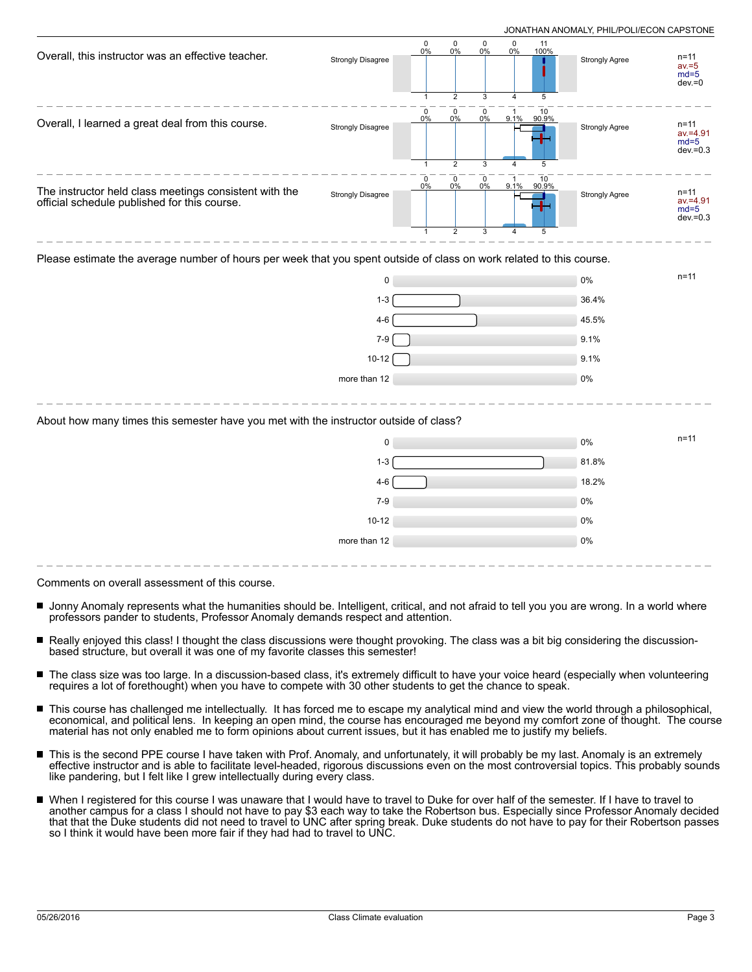| Overall, this instructor was an effective teacher.                                                                   | <b>Strongly Disagree</b> | 0<br>0%                         | 0<br>0%                                               | 0<br>0%                     | 0<br>0%             | 11<br>100%                 | <b>Strongly Agree</b> | $n = 11$<br>$av = 5$<br>$md=5$<br>$dev = 0$      |
|----------------------------------------------------------------------------------------------------------------------|--------------------------|---------------------------------|-------------------------------------------------------|-----------------------------|---------------------|----------------------------|-----------------------|--------------------------------------------------|
| Overall, I learned a great deal from this course.                                                                    | <b>Strongly Disagree</b> | $\mathbf 0$<br>0%               | $\overline{2}$<br>$\mathbf 0$<br>0%<br>$\overline{2}$ | 3<br>$\mathbf 0$<br>0%<br>3 | $\overline{1}$<br>4 | 5<br>10<br>9.1% 90.9%<br>5 | <b>Strongly Agree</b> | $n = 11$<br>$av = 4.91$<br>$md=5$<br>$dev = 0.3$ |
| The instructor held class meetings consistent with the<br>official schedule published for this course.               | <b>Strongly Disagree</b> | 0<br>0%                         | 0<br>0%<br>$\overline{2}$                             | 0<br>0%<br>3                | 9.1%<br>4           | 10<br>90.9%<br>5           | Strongly Agree        | $n = 11$<br>$av = 4.91$<br>$md=5$<br>$dev = 0.3$ |
| Please estimate the average number of hours per week that you spent outside of class on work related to this course. |                          |                                 |                                                       |                             |                     |                            |                       |                                                  |
|                                                                                                                      | 0                        |                                 |                                                       |                             |                     |                            | 0%                    | $n = 11$                                         |
|                                                                                                                      | $1 - 3$                  |                                 |                                                       |                             |                     |                            | 36.4%                 |                                                  |
|                                                                                                                      | $4 - 6$                  |                                 |                                                       |                             |                     |                            | 45.5%                 |                                                  |
|                                                                                                                      | $7 - 9$                  |                                 |                                                       |                             |                     |                            | 9.1%                  |                                                  |
|                                                                                                                      | $10-12$                  |                                 |                                                       |                             |                     |                            | 9.1%                  |                                                  |
|                                                                                                                      | more than 12             |                                 |                                                       |                             |                     |                            | 0%                    |                                                  |
|                                                                                                                      |                          | $\sim$ 1.1.1. $\sim$ 1.1.1.1.0. |                                                       |                             |                     |                            |                       |                                                  |

#### About how many times this semester have you met with the instructor outside of class?

| 0            | $n = 11$<br>0% |  |
|--------------|----------------|--|
| $1 - 3$      | 81.8%          |  |
| $4-6$        | 18.2%          |  |
| $7-9$        | 0%             |  |
| $10 - 12$    | 0%             |  |
| more than 12 | 0%             |  |

Comments on overall assessment of this course.

- Jonny Anomaly represents what the humanities should be. Intelligent, critical, and not afraid to tell you you are wrong. In a world where professors pander to students, Professor Anomaly demands respect and attention.
- Really enjoyed this class! I thought the class discussions were thought provoking. The class was a bit big considering the discussionbased structure, but overall it was one of my favorite classes this semester!
- $\blacksquare$ The class size was too large. In a discussion-based class, it's extremely difficult to have your voice heard (especially when volunteering requires a lot of forethought) when you have to compete with 30 other students to get the chance to speak.
- This course has challenged me intellectually. It has forced me to escape my analytical mind and view the world through a philosophical, economical, and political lens. In keeping an open mind, the course has encouraged me beyond my comfort zone of thought. The course material has not only enabled me to form opinions about current issues, but it has enabled me to justify my beliefs.
- This is the second PPE course I have taken with Prof. Anomaly, and unfortunately, it will probably be my last. Anomaly is an extremely effective instructor and is able to facilitate level-headed, rigorous discussions even on the most controversial topics. This probably sounds like pandering, but I felt like I grew intellectually during every class.
- When I registered for this course I was unaware that I would have to travel to Duke for over half of the semester. If I have to travel to another campus for a class I should not have to pay \$3 each way to take the Robertson bus. Especially since Professor Anomaly decided that that the Duke students did not need to travel to UNC after spring break. Duke students do not have to pay for their Robertson passes so I think it would have been more fair if they had had to travel to UNC.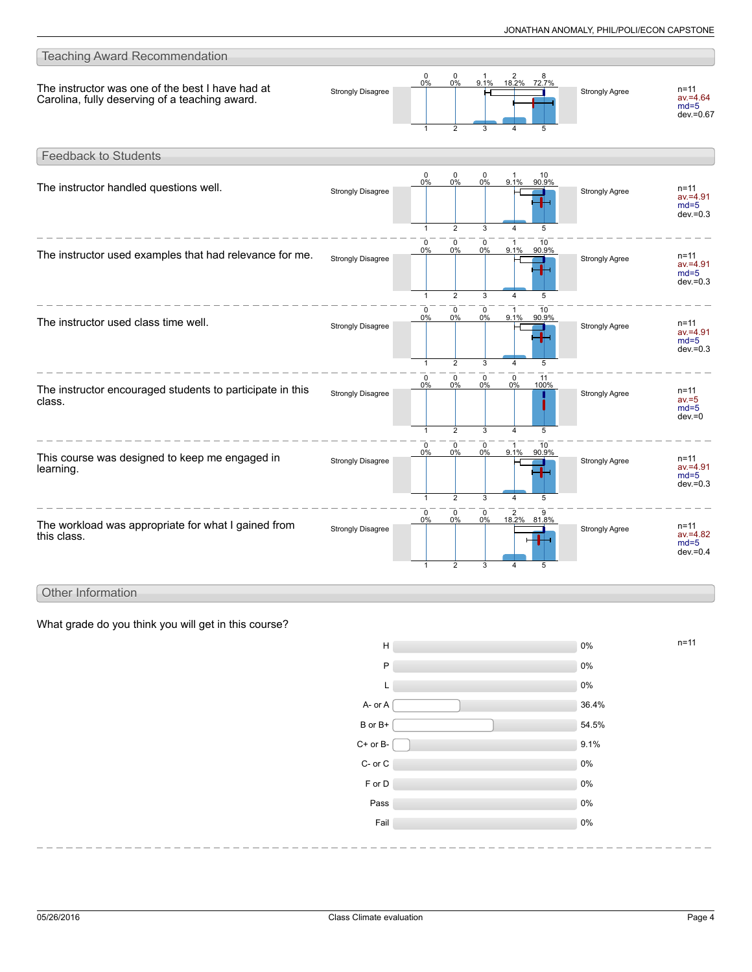

#### Other Information

What grade do you think you will get in this course?

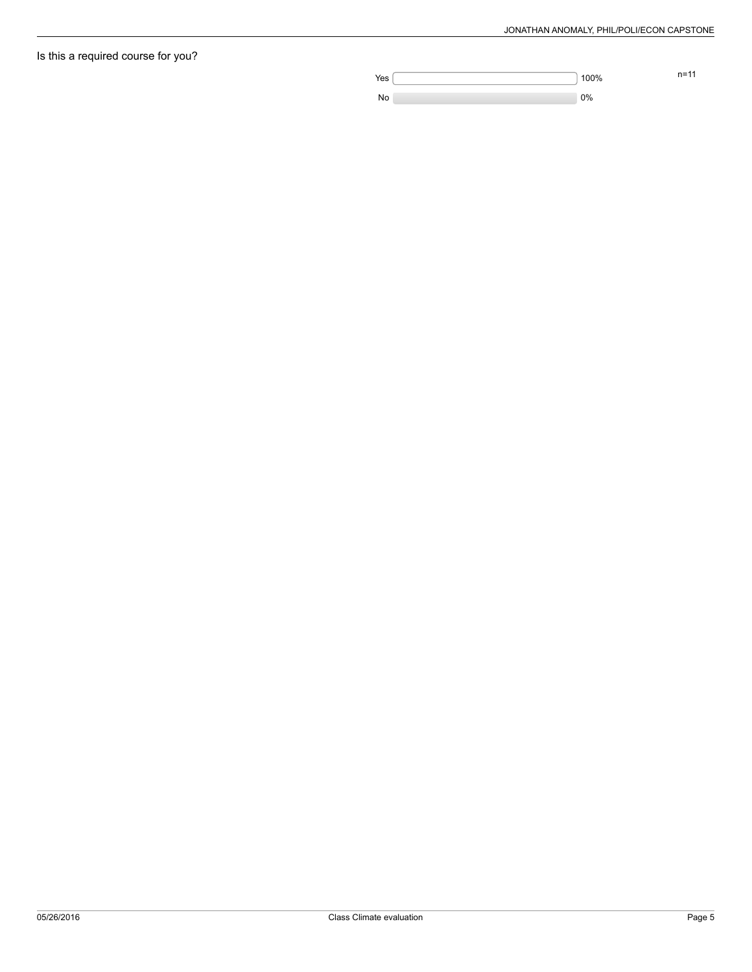# Is this a required course for you?

**n=11** 100% n=11

No 2008 and 2008 and 2008 and 2008 and 2008 and 2008 and 2008 and 2008 and 2008 and 2008 and 2008 and 2008 and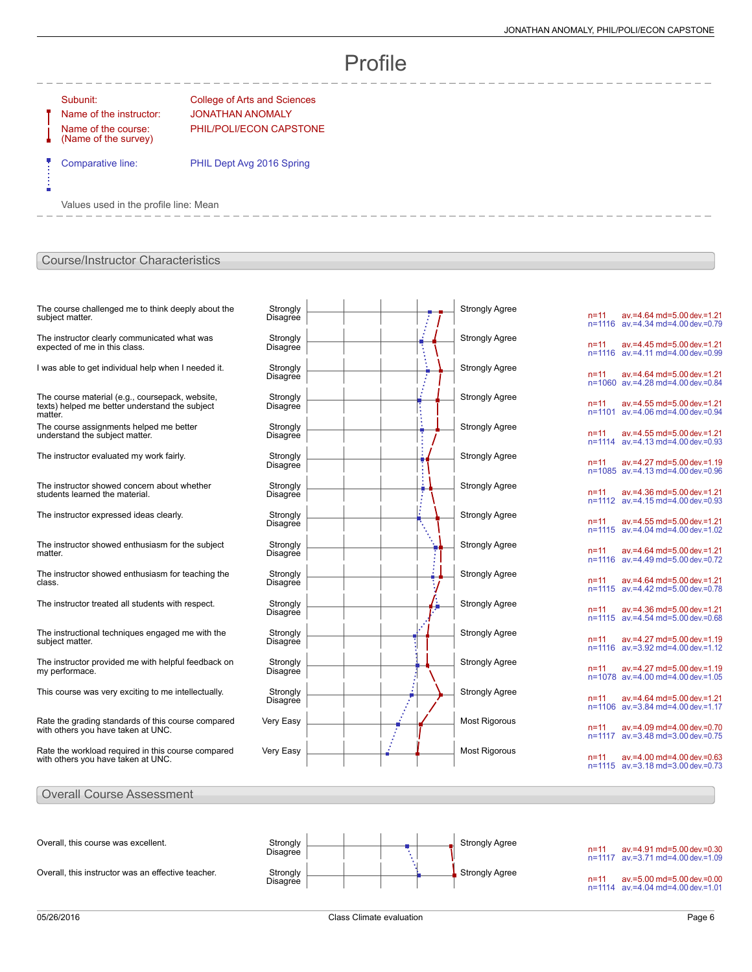# Profile

ń

Name of the course: (Name of the survey)

Subunit: College of Arts and Sciences Name of the instructor: JONATHAN ANOMALY PHIL/POLI/ECON CAPSTONE

Comparative line: PHIL Dept Avg 2016 Spring

Values used in the profile line: Mean

### Course/Instructor Characteristics

| The course challenged me to think deeply about the<br>subject matter.                                        | Strongly<br>Disagree        |   | <b>Strongly Agree</b> |
|--------------------------------------------------------------------------------------------------------------|-----------------------------|---|-----------------------|
| The instructor clearly communicated what was<br>expected of me in this class.                                | Strongly<br>Disagree        |   | <b>Strongly Agree</b> |
| I was able to get individual help when I needed it.                                                          | Strongly<br><b>Disagree</b> |   | <b>Strongly Agree</b> |
| The course material (e.g., coursepack, website,<br>texts) helped me better understand the subject<br>matter. | Strongly<br>Disagree        |   | <b>Strongly Agree</b> |
| The course assignments helped me better<br>understand the subject matter.                                    | Strongly<br><b>Disagree</b> | Ī | <b>Strongly Agree</b> |
| The instructor evaluated my work fairly.                                                                     | Strongly<br>Disagree        |   | <b>Strongly Agree</b> |
| The instructor showed concern about whether<br>students learned the material.                                | Strongly<br>Disagree        |   | <b>Strongly Agree</b> |
| The instructor expressed ideas clearly.                                                                      | Strongly<br>Disagree        |   | <b>Strongly Agree</b> |
| The instructor showed enthusiasm for the subject<br>matter.                                                  | Strongly<br>Disagree        |   | <b>Strongly Agree</b> |
| The instructor showed enthusiasm for teaching the<br>class.                                                  | Strongly<br><b>Disagree</b> |   | <b>Strongly Agree</b> |
| The instructor treated all students with respect.                                                            | Strongly<br>Disagree        |   | <b>Strongly Agree</b> |
| The instructional techniques engaged me with the<br>subject matter.                                          | Strongly<br>Disagree        |   | <b>Strongly Agree</b> |
| The instructor provided me with helpful feedback on<br>my performace.                                        | Strongly<br>Disagree        |   | <b>Strongly Agree</b> |
| This course was very exciting to me intellectually.                                                          | Strongly<br><b>Disagree</b> |   | <b>Strongly Agree</b> |
| Rate the grading standards of this course compared<br>with others you have taken at UNC.                     | Very Easy                   |   | <b>Most Rigorous</b>  |
| Rate the workload required in this course compared<br>with others you have taken at UNC.                     | Very Easy                   |   | <b>Most Rigorous</b>  |
|                                                                                                              |                             |   |                       |

| n=11<br>n=1116     | av.=4.64 md=5.00 dev.=1.21<br>av.=4.34 md=4.00 dev.=0.79    |  |
|--------------------|-------------------------------------------------------------|--|
| n=11<br>n=1116     | av.=4.45 md=5.00 dev.=1.21<br>$av = 4.11$ md=4.00 dev =0.99 |  |
| n=11<br>n=1060     | av.=4.64 md=5.00 dev.=1.21<br>av.=4.28 md=4.00 dev.=0.84    |  |
| n=11<br>n=1101     | av.=4.55 md=5.00 dev.=1.21<br>av.=4.06 md=4.00 dev.=0.94    |  |
| n=11<br>$n = 1114$ | av.=4.55 md=5.00 dev.=1.21<br>$av = 4.13$ md=4.00 dev =0.93 |  |
| n=11<br>n=1085     | av.=4.27 md=5.00 dev.=1.19<br>av.=4.13 md=4.00 dev.=0.96    |  |
| n=11<br>n=1112     | av.=4.36 md=5.00 dev.=1.21<br>av.=4.15 md=4.00 dev.=0.93    |  |
| n=11<br>n=1115     | av.=4.55 md=5.00 dev.=1.21<br>av.=4.04 md=4.00 dev.=1.02    |  |
| n=11<br>n=1116     | av.=4.64 md=5.00 dev.=1.21<br>av.=4.49 md=5.00 dev.=0.72    |  |
| n=11<br>n=1115     | av.=4.64 md=5.00 dev.=1.21<br>av.=4.42 md=5.00 dev.=0.78    |  |
| n=11<br>n=1115     | av.=4.36 md=5.00 dev.=1.21<br>av.=4.54 md=5.00 dev.=0.68    |  |
| n=11<br>n=1116     | av.=4.27 md=5.00 dev.=1.19<br>av.=3.92 md=4.00 dev.=1.12    |  |
| n=11<br>n=1078     | av.=4.27 md=5.00 dev.=1.19<br>ay.=4.00 md=4.00 dey.=1.05    |  |
| n=11<br>n=1106     | av.=4.64 md=5.00 dev.=1.21<br>av.=3.84 md=4.00 dev.=1.17    |  |
| n=11<br>n=1117     | av.=4.09 md=4.00 dev.=0.70<br>av.=3.48 md=3.00 dev.=0.75    |  |
| n=11<br>n=1115     | av.=4.00 md=4.00 dev.=0.63<br>av.=3.18 md=3.00 dev.=0.73    |  |

#### Overall Course Assessment